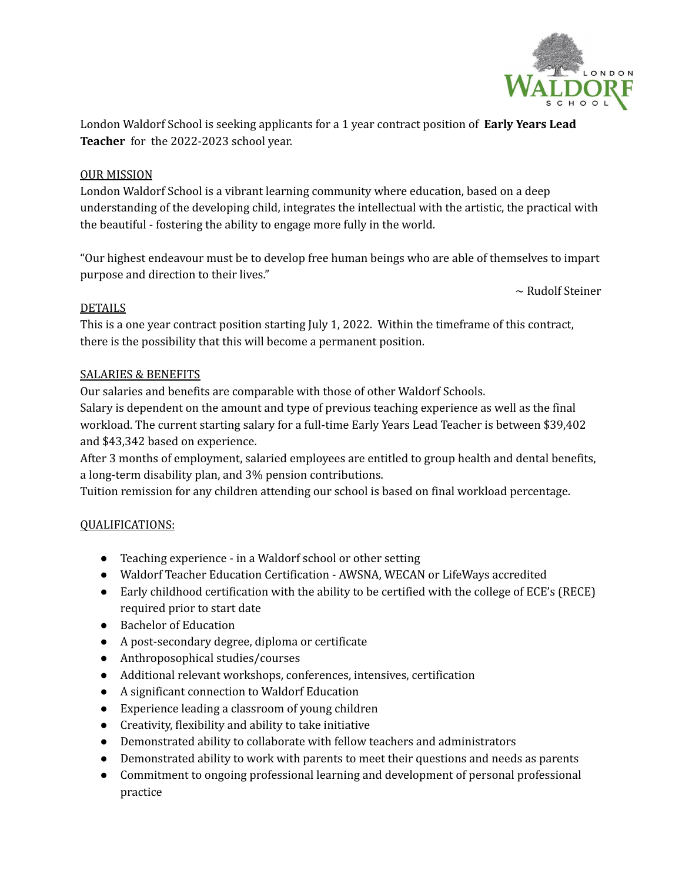

London Waldorf School is seeking applicants for a 1 year contract position of **Early Years Lead Teacher** for the 2022-2023 school year.

## OUR MISSION

London Waldorf School is a vibrant learning community where education, based on a deep understanding of the developing child, integrates the intellectual with the artistic, the practical with the beautiful - fostering the ability to engage more fully in the world.

"Our highest endeavour must be to develop free human beings who are able of themselves to impart purpose and direction to their lives."

 $\sim$  Rudolf Steiner

### DETAILS

This is a one year contract position starting July 1, 2022. Within the timeframe of this contract, there is the possibility that this will become a permanent position.

#### SALARIES & BENEFITS

Our salaries and benefits are comparable with those of other Waldorf Schools.

Salary is dependent on the amount and type of previous teaching experience as well as the final workload. The current starting salary for a full-time Early Years Lead Teacher is between \$39,402 and \$43,342 based on experience.

After 3 months of employment, salaried employees are entitled to group health and dental benefits, a long-term disability plan, and 3% pension contributions.

Tuition remission for any children attending our school is based on final workload percentage.

### QUALIFICATIONS:

- Teaching experience in a Waldorf school or other setting
- Waldorf Teacher Education Certification AWSNA, WECAN or LifeWays accredited
- Early childhood certification with the ability to be certified with the college of ECE's (RECE) required prior to start date
- Bachelor of Education
- A post-secondary degree, diploma or certificate
- Anthroposophical studies/courses
- Additional relevant workshops, conferences, intensives, certification
- A significant connection to Waldorf Education
- Experience leading a classroom of young children
- Creativity, flexibility and ability to take initiative
- Demonstrated ability to collaborate with fellow teachers and administrators
- Demonstrated ability to work with parents to meet their questions and needs as parents
- Commitment to ongoing professional learning and development of personal professional practice